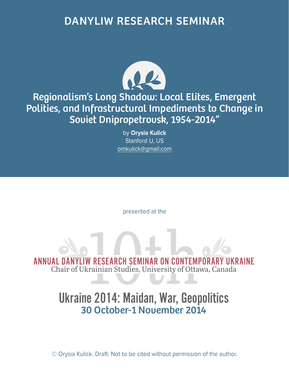## DANYLIW RESEARCH SEMINAR



## Regionalism's Long Shadow: Local Elites, Emergent Polities, and Infrastructural Impediments to Change in Soviet Dnipropetrovsk, 1954-2014"

by **Orysia Kulick** Stanford U, US omkulick@gmail.com

presented at the

ANNUAL DANYLIW RESEARCH SEMINAR ON CONTEMPORARY UKRAINE<br>Chair of Ukrainian Studies, University of Ottawa, Canada Chair of Ukrainian Studies, University of Ottawa, Canada

## Ukraine 2014: Maidan, War, Geopolitics 30 October-1 November 2014

© Orysia Kulick. Draft. Not to be cited without permission of the author.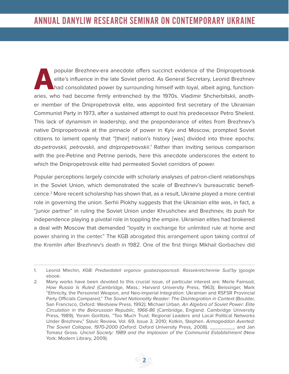popular Brezhnev-era anecdote offers succinct evidence of the Dnipropetrovsk<br>elite's influence in the late Soviet period. As General Secretary, Leonid Brezhnev<br>had consolidated power by surrounding himself with loyal, albe elite's influence in the late Soviet period. As General Secretary, Leonid Brezhnev had consolidated power by surrounding himself with loyal, albeit aging, functionaries, who had become firmly entrenched by the 1970s. Vladimir Shcherbitskii, another member of the Dnipropetrovsk elite, was appointed first secretary of the Ukrainian Communist Party in 1973, after a sustained attempt to oust his predecessor Petro Shelest. This lack of dynamism in leadership, and the preponderance of elites from Brezhnev's native Dnipropetrovsk at the pinnacle of power in Kyiv and Moscow, prompted Soviet citizens to lament openly that "[their] nation's history [was] divided into three epochs: do-petrovskii, petrovskii, and dnipropetrovskii.<sup>1</sup> Rather than inviting serious comparison with the pre-Petrine and Petrine periods, here this anecdote underscores the extent to which the Dnipropetrovsk elite had permeated Soviet corridors of power.

Popular perceptions largely coincide with scholarly analyses of patron-client relationships in the Soviet Union, which demonstrated the scale of Brezhnev's bureaucratic beneficence.2 More recent scholarship has shown that, as a result, Ukraine played a more central role in governing the union. Serhii Plokhy suggests that the Ukrainian elite was, in fact, a "junior partner" in ruling the Soviet Union under Khrushchev and Brezhnev, its push for independence playing a pivotal role in toppling the empire. Ukrainian elites had brokered a deal with Moscow that demanded "loyalty in exchange for unlimited rule at home and power sharing in the center." The KGB abrogated this arrangement upon taking control of the Kremlin after Brezhnev's death in 1982. One of the first things Mikhail Gorbachev did

<sup>1.</sup> Leonid Mlechin, KGB: Predsedateli organov gosbezopasnosti. Rassekretchennie Sud'by (google ebook:

<sup>2.</sup> Many works have been devoted to this crucial issue, of particular interest are: Merle Fainsod, How Russia Is Ruled (Cambridge, Mass.: Harvard University Press, 1963); Beissinger, Mark "Ethnicity, the Personnel Weapon, and Neo-imperial Integration: Ukrainian and RSFSR Provincial Party Officials Compared," The Soviet Nationality Reader: The Disintegration in Context (Boulder, San Francisco, Oxford: Westview Press, 1992); Michael Urban, An Algebra of Soviet Power: Elite Circulation in the Belorussian Republic, 1966-86 (Cambridge, England: Cambridge University Press, 1989); Yoram Gorlitzki, "Too Much Trust: Regional Leaders and Local Political Networks Under Brezhnev," Slavic Review, Vol. 69, Issue 3, 2010; Kotkin, Stephen. Armageddon Averted: The Soviet Collapse, 1970-2000 (Oxford: Oxford University Press, 2008). \_\_\_\_\_\_\_\_\_ and Jan Tomasz Gross. Uncivil Society: 1989 and the Implosion of the Communist Establishment (New York: Modern Library, 2009).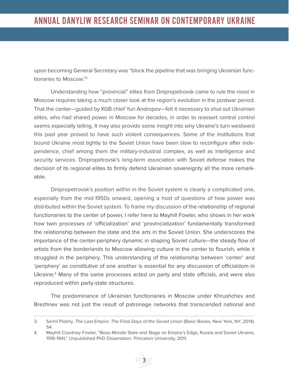upon becoming General Secretary was "block the pipeline that was bringing Ukrainian functionaries to Moscow."3

Understanding how "provincial" elites from Dnipropetrovsk came to rule the roost in Moscow requires taking a much closer look at the region's evolution in the postwar period. That the center—guided by KGB chief Yuri Andropov—felt it necessary to shut out Ukrainian elites, who had shared power in Moscow for decades, in order to reassert central control seems especially telling. It may also provide some insight into why Ukraine's turn westward this past year proved to have such violent consequences. Some of the institutions that bound Ukraine most tightly to the Soviet Union have been slow to reconfigure after independence, chief among them the military-industrial complex, as well as intelligence and security services. Dnipropetrovsk's long-term association with Soviet defense makes the decision of its regional elites to firmly defend Ukrainian sovereignty all the more remarkable.

Dnipropetrovsk's position within in the Soviet system is clearly a complicated one, especially from the mid-1950s onward, opening a host of questions of how power was distributed within the Soviet system. To frame my discussion of the relationship of regional functionaries to the center of power, I refer here to Mayhill Fowler, who shows in her work how twin processes of 'officialization' and 'provincialization' fundamentally transformed the relationship between the state and the arts in the Soviet Union. She underscores the importance of the center-periphery dynamic in shaping Soviet culture—the steady flow of artists from the borderlands to Moscow allowing culture in the center to flourish, while it struggled in the periphery. This understanding of the relationship between 'center' and 'periphery' as constitutive of one another is essential for any discussion of officialdom in Ukraine.<sup>4</sup> Many of the same processes acted on party and state officials, and were also reproduced within party-state structures.

The predominance of Ukrainian functionaries in Moscow under Khrushchev and Brezhnev was not just the result of patronage networks that transcended national and

<sup>3.</sup> Serhii Plokhy, The Last Empire: The Final Days of the Soviet Union (Basic Books, New York, NY, 2014), 54.

<sup>4.</sup> Mayhill Courtney Fowler, "Beau Monde State and Stage on Empire's Edge, Russia and Soviet Ukraine, 1916-1941," Unpublished PhD Dissertation. Princeton University, 2011.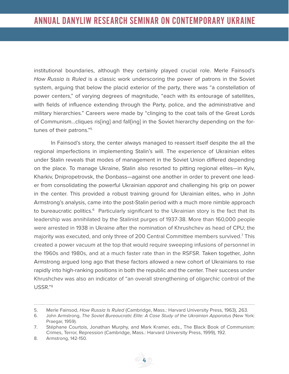institutional boundaries, although they certainly played crucial role. Merle Fainsod's How Russia is Ruled is a classic work underscoring the power of patrons in the Soviet system, arguing that below the placid exterior of the party, there was "a constellation of power centers," of varying degrees of magnitude, "each with its entourage of satellites, with fields of influence extending through the Party, police, and the administrative and military hierarchies." Careers were made by "clinging to the coat tails of the Great Lords of Communism...cliques ris[ing] and fall[ing] in the Soviet hierarchy depending on the fortunes of their patrons."5

In Fainsod's story, the center always managed to reassert itself despite the all the regional imperfections in implementing Stalin's will. The experience of Ukrainian elites under Stalin reveals that modes of management in the Soviet Union differed depending on the place. To manage Ukraine, Stalin also resorted to pitting regional elites—in Kyiv, Kharkiv, Dnipropetrovsk, the Donbass—against one another in order to prevent one leader from consolidating the powerful Ukrainian *apparat* and challenging his grip on power in the center. This provided a robust training ground for Ukrainian elites, who in John Armstrong's analysis, came into the post-Stalin period with a much more nimble approach to bureaucratic politics.<sup>6</sup> Particularly significant to the Ukrainian story is the fact that its leadership was annihilated by the Stalinist purges of 1937-38. More than 160,000 people were arrested in 1938 in Ukraine after the nomination of Khrushchev as head of CPU; the majority was executed, and only three of 200 Central Committee members survived.7 This created a power vacuum at the top that would require sweeping infusions of personnel in the 1960s and 1980s, and at a much faster rate than in the RSFSR. Taken together, John Armstrong argued long ago that these factors allowed a new cohort of Ukrainians to rise rapidly into high-ranking positions in both the republic and the center. Their success under Khrushchev was also an indicator of "an overall strengthening of oligarchic control of the USSR."8

<sup>5.</sup> Merle Fainsod, How Russia Is Ruled (Cambridge, Mass.: Harvard University Press, 1963), 263.

<sup>6.</sup> John Armstrong, The Soviet Bureaucratic Elite: A Case Study of the Ukrainian Apparatus (New York:

Praegar, 1959). 7. Stéphane Courtois, Jonathan Murphy, and Mark Kramer, eds., The Black Book of Communism: Crimes, Terror, Repression (Cambridge, Mass.: Harvard University Press, 1999), 192.

<sup>8.</sup> Armstrong, 142-150.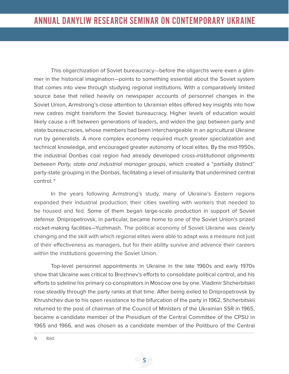This oligarchization of Soviet bureaucracy—before the oligarchs were even a glimmer in the historical imagination—points to something essential about the Soviet system that comes into view through studying regional institutions. With a comparatively limited source base that relied heavily on newspaper accounts of personnel changes in the Soviet Union, Armstrong's close attention to Ukrainian elites offered key insights into how new cadres might transform the Soviet bureaucracy. Higher levels of education would likely cause a rift between generations of leaders, and widen the gap between party and state bureaucracies, whose members had been interchangeable in an agricultural Ukraine run by generalists. A more complex economy required much greater specialization and technical knowledge, and encouraged greater autonomy of local elites. By the mid-1950s, the industrial Donbas coal region had already developed cross-institutional alignments between Party, state and industrial manager groups, which created a "partially distinct" party-state grouping in the Donbas, facilitating a level of insularity that undermined central control. 9

In the years following Armstrong's study, many of Ukraine's Eastern regions expanded their industrial production; their cities swelling with workers that needed to be housed and fed. Some of them began large-scale production in support of Soviet defense. Dnipropetrovsk, in particular, became home to one of the Soviet Union's prized rocket-making facilities—Yuzhmash. The political economy of Soviet Ukraine was clearly changing and the skill with which regional elites were able to adapt was a measure not just of their effectiveness as managers, but for their ability survive and advance their careers within the institutions governing the Soviet Union.

Top-level personnel appointments in Ukraine in the late 1960s and early 1970s show that Ukraine was critical to Brezhnev's efforts to consolidate political control, and his efforts to sideline his primary co-conspirators in Moscow one by one. Vladimir Shcherbitskii rose steadily through the party ranks at that time. After being exiled to Dnipropetrovsk by Khrushchev due to his open resistance to the bifurcation of the party in 1962, Shcherbitskii returned to the post of chairman of the Council of Ministers of the Ukrainian SSR in 1965, became a candidate member of the Presidium of the Central Committee of the CPSU in 1965 and 1966, and was chosen as a candidate member of the Politburo of the Central

9. Ibid.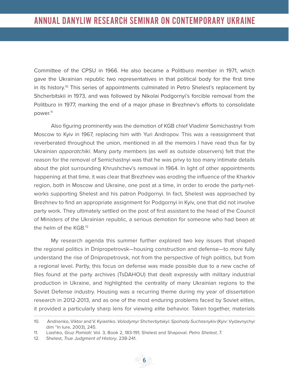Committee of the CPSU in 1966. He also became a Politburo member in 1971, which gave the Ukrainian republic two representatives in that political body for the first time in its history.<sup>10</sup> This series of appointments culminated in Petro Shelest's replacement by Shcherbitskii in 1973, and was followed by Nikolai Podgornyi's forcible removal from the Politburo in 1977, marking the end of a major phase in Brezhnev's efforts to consolidate power.11

Also figuring prominently was the demotion of KGB chief Vladimir Semichastnyi from Moscow to Kyiv in 1967, replacing him with Yuri Andropov. This was a reassignment that reverberated throughout the union, mentioned in all the memoirs I have read thus far by Ukrainian *apparatchiki*. Many party members (as well as outside observers) felt that the reason for the removal of Semichastnyi was that he was privy to too many intimate details about the plot surrounding Khrushchev's removal in 1964. In light of other appointments happening at that time, it was clear that Brezhnev was eroding the influence of the Kharkiv region, both in Moscow and Ukraine, one post at a time, in order to erode the party-networks supporting Shelest and his patron Podgornyi. In fact, Shelest was approached by Brezhnev to find an appropriate assignment for Podgornyi in Kyiv, one that did not involve party work. They ultimately settled on the post of first assistant to the head of the Council of Ministers of the Ukrainian republic, a serious demotion for someone who had been at the helm of the KGB.12

My research agenda this summer further explored two key issues that shaped the regional politics in Dnipropetrovsk—housing construction and defense—to more fully understand the rise of Dnipropetrovsk, not from the perspective of high politics, but from a regional level. Partly, this focus on defense was made possible due to a new cache of files found at the party archives (TsDAHOU) that dealt expressly with military industrial production in Ukraine, and highlighted the centrality of many Ukrainian regions to the Soviet Defense industry. Housing was a recurring theme during my year of dissertation research in 2012-2013, and as one of the most enduring problems faced by Soviet elites, it provided a particularly sharp lens for viewing elite behavior. Taken together, materials 

<sup>10.</sup> Andrienko, Viktor and V. Kyiashko. Volodymyr Shcherbytskyi: Spohady Suchasnykiv (Kyiv: Vydavnychyi dim "In Iure, 2003), 245.

<sup>11.</sup> Liashko, Gruz Pamiati: Vol. 3, Book 2, 183-191; Shelest and Shapoval. Petro Shelest, 7.

<sup>12.</sup> Shelest, True Judgment of History, 238-241.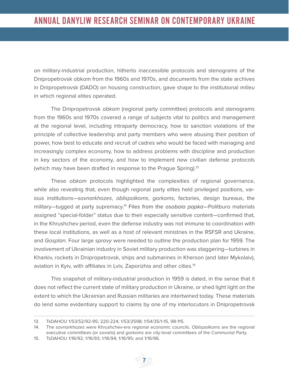on military-industrial production, hitherto inaccessible protocols and stenograms of the Dnipropetrovsk obkom from the 1960s and 1970s, and documents from the state archives in Dnipropetrovsk (DADO) on housing construction, gave shape to the institutional milieu in which regional elites operated.

The Dnipropetrovsk obkom (regional party committee) protocols and stenograms from the 1960s and 1970s covered a range of subjects vital to politics and management at the regional level, including intraparty democracy, how to sanction violations of the principle of collective leadership and party members who were abusing their position of power, how best to educate and recruit of cadres who would be faced with managing and increasingly complex economy, how to address problems with discipline and production in key sectors of the economy, and how to implement new civilian defense protocols (which may have been drafted in response to the Prague Spring).<sup>13</sup>

These obkom protocols highlighted the complexities of regional governance, while also revealing that, even though regional party elites held privileged positions, various institutions—sovnarkhozes, oblispolkoms, gorkoms, factories, design bureaus, the military—tugged at party supremacy.<sup>14</sup> Files from the osobaia papka—Politburo materials assigned "special-folder" status due to their especially sensitive content—confirmed that, in the Khrushchev period, even the defense industry was not immune to coordination with these local institutions, as well as a host of relevant ministries in the RSFSR and Ukraine, and Gosplan. Four large spravy were needed to outline the production plan for 1959. The involvement of Ukrainian industry in Soviet military production was staggering—turbines in Kharkiv, rockets in Dnipropetrovsk, ships and submarines in Kherson (and later Mykolaiv), aviation in Kyiv, with affiliates in Lviv, Zaporizhia and other cities.15

This snapshot of military-industrial production in 1959 is dated, in the sense that it does not reflect the current state of military production in Ukraine, or shed light light on the extent to which the Ukrainian and Russian militaries are intertwined today. These materials do lend some evidentiary support to claims by one of my interlocutors in Dnipropetrovsk

<sup>13.</sup> TsDAHOU 1/53/52/92-95; 220-224; 1/53/2598; 1/54/35/1-15, 98-115.

<sup>14.</sup> The sovnarkhozes were Khrushchev-era regional economic councils. Oblispolkoms are the regional executive committees (or soviets) and gorkoms are city-level committees of the Communist Party.

<sup>15.</sup> TsDAHOU 1/16/92; 1/16/93; 1/16/94; 1/16/95; and 1/16/96.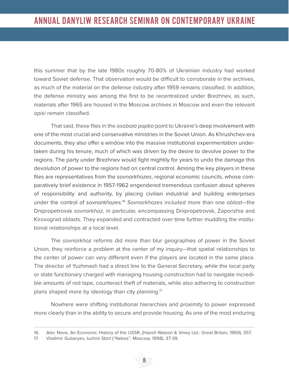this summer that by the late 1980s roughly 70-80% of Ukrainian industry had worked toward Soviet defense. That observation would be difficult to corroborate in the archives, as much of the material on the defense industry after 1959 remains classified. In addition, the defense ministry was among the first to be recentralized under Brezhnev, as such, materials after 1965 are housed in the Moscow archives in Moscow and even the relevant opisi remain classified.

That said, these files in the *osobaia papka* point to Ukraine's deep involvement with one of the most crucial and conservative ministries in the Soviet Union. As Khrushchev-era documents, they also offer a window into the massive institutional experimentation undertaken during his tenure, much of which was driven by the desire to devolve power to the regions. The party under Brezhnev would fight mightily for years to undo the damage this devolution of power to the regions had on central control. Among the key players in these files are representatives from the sovnarkhozes, regional economic councils, whose comparatively brief existence in 1957-1962 engendered tremendous confusion about spheres of responsibility and authority, by placing civilian industrial and building enterprises under the control of sovnarkhozes.<sup>16</sup> Sovnarkhozes included more than one oblast-the Dnipropetrovsk sovnarkhoz, in particular, encompassing Dnipropetrovsk, Zaporizhia and Kirovograd oblasts. They expanded and contracted over time further muddling the institutional relationships at a local level.

The sovnarkhoz reforms did more than blur geographies of power in the Soviet Union, they reinforce a problem at the center of my inquiry—that spatial relationships to the center of power can very different even if the players are located in the same place. The director of Yuzhmash had a direct line to the General Secretary, while the local party or state functionary charged with managing housing construction had to navigate incredible amounts of red tape, counteract theft of materials, while also adhering to construction plans shaped more by ideology than city planning.<sup>17</sup>

Nowhere were shifting institutional hierarchies and proximity to power expressed more clearly than in the ability to secure and provide housing. As one of the most enduring

. . . . . . . . . . .

<sup>16.</sup> Alec Nove, An Economic History of the USSR, (Hazell Watson & Viney Ltd.: Great Britain, 1969), 357.

<sup>17.</sup> Vladimir Gubaryev, Iuzhnii Start ("Nekos": Moscow, 1998), 37-39.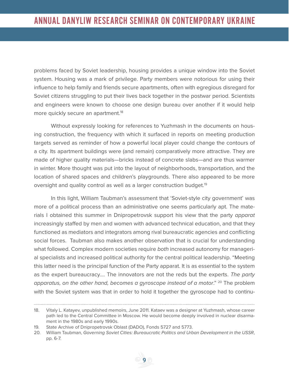problems faced by Soviet leadership, housing provides a unique window into the Soviet system. Housing was a mark of privilege. Party members were notorious for using their influence to help family and friends secure apartments, often with egregious disregard for Soviet citizens struggling to put their lives back together in the postwar period. Scientists and engineers were known to choose one design bureau over another if it would help more quickly secure an apartment.<sup>18</sup>

Without expressly looking for references to Yuzhmash in the documents on housing construction, the frequency with which it surfaced in reports on meeting production targets served as reminder of how a powerful local player could change the contours of a city. Its apartment buildings were (and remain) comparatively more attractive. They are made of higher quality materials—bricks instead of concrete slabs—and are thus warmer in winter. More thought was put into the layout of neighborhoods, transportation, and the location of shared spaces and children's playgrounds. There also appeared to be more oversight and quality control as well as a larger construction budget.<sup>19</sup>

In this light, William Taubman's assessment that 'Soviet-style city government' was more of a political process than an administrative one seems particularly apt. The materials I obtained this summer in Dnipropetrovsk support his view that the party apparat increasingly staffed by men and women with advanced technical education, and that they functioned as mediators and integrators among rival bureaucratic agencies and conflicting social forces. Taubman also makes another observation that is crucial for understanding what followed. Complex modern societies require both increased autonomy for managerial specialists and increased political authority for the central political leadership. "Meeting this latter need is the principal function of the Party apparat. It is as essential to the system as the expert bureaucracy.... The innovators are not the reds but the experts. The party apparatus, on the other hand, becomes a gyroscope instead of a motor."  $20$  The problem with the Soviet system was that in order to hold it together the gyroscope had to continu-

<sup>18.</sup> Vitaly L. Katayev, unpublished memoirs, June 2011. Kataev was a designer at Yuzhmash, whose career path led to the Central Committee in Moscow. He would become deeply involved in nuclear disarmament in the 1980s and early 1990s.

<sup>19.</sup> State Archive of Dnipropetrovsk Oblast (DADO), Fonds 5727 and 5773.

<sup>20.</sup> William Taubman, Governing Soviet Cities: Bureaucratic Politics and Urban Development in the USSR, pp. 6-7.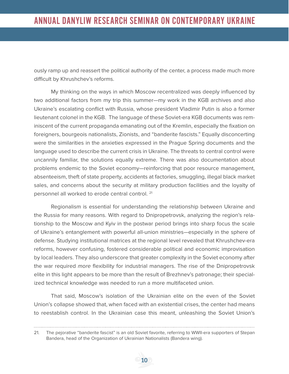ously ramp up and reassert the political authority of the center, a process made much more difficult by Khrushchev's reforms.

My thinking on the ways in which Moscow recentralized was deeply influenced by two additional factors from my trip this summer—my work in the KGB archives and also Ukraine's escalating conflict with Russia, whose president Vladimir Putin is also a former lieutenant colonel in the KGB. The language of these Soviet-era KGB documents was reminiscent of the current propaganda emanating out of the Kremlin, especially the fixation on foreigners, bourgeois nationalists, Zionists, and "banderite fascists." Equally disconcerting were the similarities in the anxieties expressed in the Prague Spring documents and the language used to describe the current crisis in Ukraine. The threats to central control were uncannily familiar, the solutions equally extreme. There was also documentation about problems endemic to the Soviet economy—reinforcing that poor resource management, absenteeism, theft of state property, accidents at factories, smuggling, illegal black market sales, and concerns about the security at military production facilities and the loyalty of personnel all worked to erode central control.<sup>21</sup>

Regionalism is essential for understanding the relationship between Ukraine and the Russia for many reasons. With regard to Dnipropetrovsk, analyzing the region's relationship to the Moscow and Kyiv in the postwar period brings into sharp focus the scale of Ukraine's entanglement with powerful all-union ministries—especially in the sphere of defense. Studying institutional matrices at the regional level revealed that Khrushchev-era reforms, however confusing, fostered considerable political and economic improvisation by local leaders. They also underscore that greater complexity in the Soviet economy after the war required more flexibility for industrial managers. The rise of the Dnipropetrovsk elite in this light appears to be more than the result of Brezhnev's patronage; their specialized technical knowledge was needed to run a more multifaceted union.

That said, Moscow's isolation of the Ukrainian elite on the even of the Soviet Union's collapse showed that, when faced with an existential crises, the center had means to reestablish control. In the Ukrainian case this meant, unleashing the Soviet Union's

<sup>21.</sup> The pejorative "banderite fascist" is an old Soviet favorite, referring to WWII-era supporters of Stepan Bandera, head of the Organization of Ukrainian Nationalists (Bandera wing).